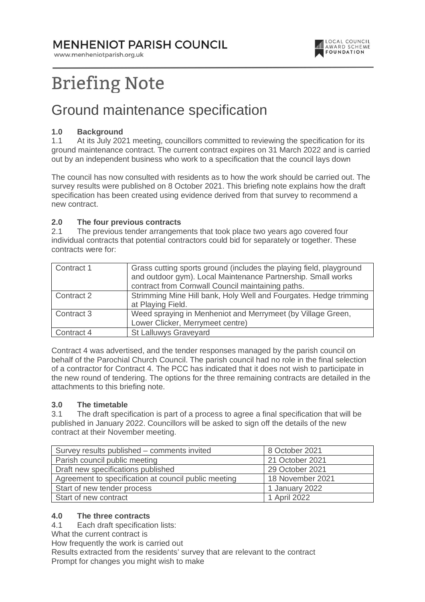### **MENHENIOT PARISH COUNCIL**

www.menheniotparish.org.uk



# **Briefing Note**

## Ground maintenance specification

#### **1.0 Background**

1.1 At its July 2021 meeting, councillors committed to reviewing the specification for its ground maintenance contract. The current contract expires on 31 March 2022 and is carried out by an independent business who work to a specification that the council lays down

The council has now consulted with residents as to how the work should be carried out. The survey results were published on 8 October 2021. This briefing note explains how the draft specification has been created using evidence derived from that survey to recommend a new contract.

#### **2.0 The four previous contracts**

2.1 The previous tender arrangements that took place two years ago covered four individual contracts that potential contractors could bid for separately or together. These contracts were for:

| Contract 1 | Grass cutting sports ground (includes the playing field, playground<br>and outdoor gym). Local Maintenance Partnership. Small works<br>contract from Cornwall Council maintaining paths. |
|------------|------------------------------------------------------------------------------------------------------------------------------------------------------------------------------------------|
| Contract 2 | Strimming Mine Hill bank, Holy Well and Fourgates. Hedge trimming<br>at Playing Field.                                                                                                   |
| Contract 3 | Weed spraying in Menheniot and Merrymeet (by Village Green,<br>Lower Clicker, Merrymeet centre)                                                                                          |
| Contract 4 | St Lalluwys Graveyard                                                                                                                                                                    |

Contract 4 was advertised, and the tender responses managed by the parish council on behalf of the Parochial Church Council. The parish council had no role in the final selection of a contractor for Contract 4. The PCC has indicated that it does not wish to participate in the new round of tendering. The options for the three remaining contracts are detailed in the attachments to this briefing note.

#### **3.0 The timetable**

3.1 The draft specification is part of a process to agree a final specification that will be published in January 2022. Councillors will be asked to sign off the details of the new contract at their November meeting.

| Survey results published - comments invited          | 8 October 2021   |
|------------------------------------------------------|------------------|
| Parish council public meeting                        | 21 October 2021  |
| Draft new specifications published                   | 29 October 2021  |
| Agreement to specification at council public meeting | 18 November 2021 |
| Start of new tender process                          | 1 January 2022   |
| Start of new contract                                | 1 April 2022     |

#### **4.0 The three contracts**

4.1 Each draft specification lists:

What the current contract is

How frequently the work is carried out

Results extracted from the residents' survey that are relevant to the contract Prompt for changes you might wish to make